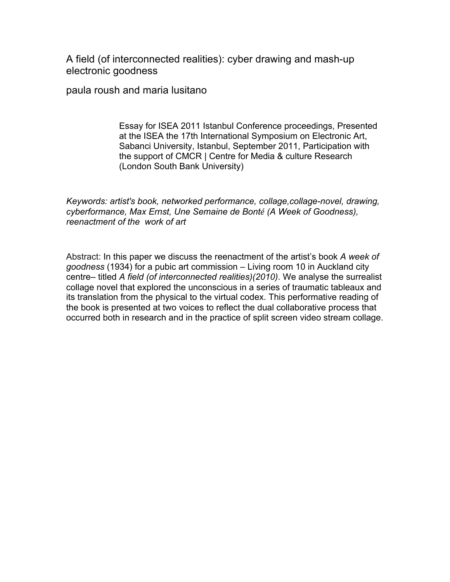A field (of interconnected realities): cyber drawing and mash-up electronic goodness

paula roush and maria lusitano

Essay for ISEA 2011 Istanbul Conference proceedings, Presented at the ISEA the 17th International Symposium on Electronic Art, Sabanci University, Istanbul, September 2011, Participation with the support of CMCR | Centre for Media & culture Research (London South Bank University)

*Keywords: artist's book, networked performance, collage,collage-novel, drawing, cyberformance, Max Ernst, Une Semaine de Bonté (A Week of Goodness), reenactment of the work of art*

Abstract: In this paper we discuss the reenactment of the artist's book *A week of goodness* (1934) for a pubic art commission – Living room 10 in Auckland city centre– titled *A field (of interconnected realities)(2010)*. We analyse the surrealist collage novel that explored the unconscious in a series of traumatic tableaux and its translation from the physical to the virtual codex. This performative reading of the book is presented at two voices to reflect the dual collaborative process that occurred both in research and in the practice of split screen video stream collage.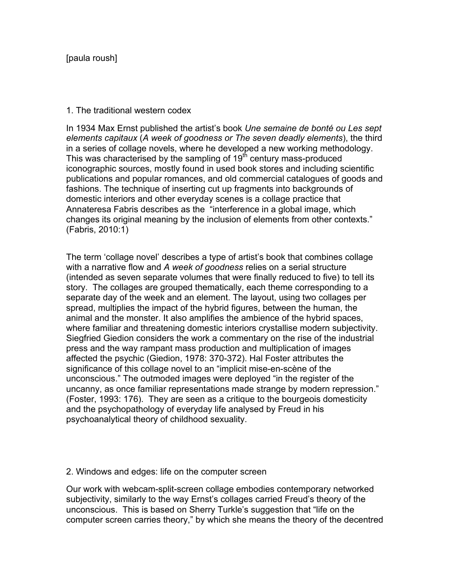## 1. The traditional western codex

In 1934 Max Ernst published the artist's book *Une semaine de bonté ou Les sept elements capitaux* (*A week of goodness or The seven deadly elements*), the third in a series of collage novels, where he developed a new working methodology. This was characterised by the sampling of 19<sup>th</sup> century mass-produced iconographic sources, mostly found in used book stores and including scientific publications and popular romances, and old commercial catalogues of goods and fashions. The technique of inserting cut up fragments into backgrounds of domestic interiors and other everyday scenes is a collage practice that Annateresa Fabris describes as the "interference in a global image, which changes its original meaning by the inclusion of elements from other contexts." (Fabris, 2010:1)

The term 'collage novel' describes a type of artist's book that combines collage with a narrative flow and *A week of goodness* relies on a serial structure (intended as seven separate volumes that were finally reduced to five) to tell its story. The collages are grouped thematically, each theme corresponding to a separate day of the week and an element. The layout, using two collages per spread, multiplies the impact of the hybrid figures, between the human, the animal and the monster. It also amplifies the ambience of the hybrid spaces, where familiar and threatening domestic interiors crystallise modern subjectivity. Siegfried Giedion considers the work a commentary on the rise of the industrial press and the way rampant mass production and multiplication of images affected the psychic (Giedion, 1978: 370-372). Hal Foster attributes the significance of this collage novel to an "implicit mise-en-scène of the unconscious." The outmoded images were deployed "in the register of the uncanny, as once familiar representations made strange by modern repression." (Foster, 1993: 176). They are seen as a critique to the bourgeois domesticity and the psychopathology of everyday life analysed by Freud in his psychoanalytical theory of childhood sexuality.

### 2. Windows and edges: life on the computer screen

Our work with webcam-split-screen collage embodies contemporary networked subjectivity, similarly to the way Ernst's collages carried Freud's theory of the unconscious. This is based on Sherry Turkle's suggestion that "life on the computer screen carries theory," by which she means the theory of the decentred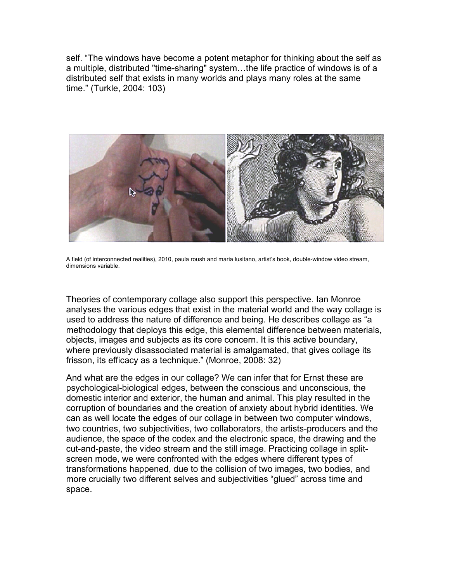self. "The windows have become a potent metaphor for thinking about the self as a multiple, distributed "time-sharing" system…the life practice of windows is of a distributed self that exists in many worlds and plays many roles at the same time." (Turkle, 2004: 103)



A field (of interconnected realities), 2010, paula roush and maria lusitano, artist's book, double-window video stream, dimensions variable.

Theories of contemporary collage also support this perspective. Ian Monroe analyses the various edges that exist in the material world and the way collage is used to address the nature of difference and being. He describes collage as "a methodology that deploys this edge, this elemental difference between materials, objects, images and subjects as its core concern. It is this active boundary, where previously disassociated material is amalgamated, that gives collage its frisson, its efficacy as a technique." (Monroe, 2008: 32)

And what are the edges in our collage? We can infer that for Ernst these are psychological-biological edges, between the conscious and unconscious, the domestic interior and exterior, the human and animal. This play resulted in the corruption of boundaries and the creation of anxiety about hybrid identities. We can as well locate the edges of our collage in between two computer windows, two countries, two subjectivities, two collaborators, the artists-producers and the audience, the space of the codex and the electronic space, the drawing and the cut-and-paste, the video stream and the still image. Practicing collage in splitscreen mode, we were confronted with the edges where different types of transformations happened, due to the collision of two images, two bodies, and more crucially two different selves and subjectivities "glued" across time and space.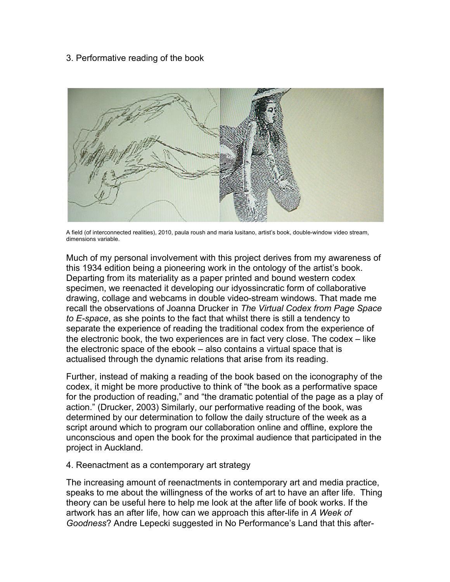# 3. Performative reading of the book



A field (of interconnected realities), 2010, paula roush and maria lusitano, artist's book, double-window video stream, dimensions variable.

Much of my personal involvement with this project derives from my awareness of this 1934 edition being a pioneering work in the ontology of the artist's book. Departing from its materiality as a paper printed and bound western codex specimen, we reenacted it developing our idyossincratic form of collaborative drawing, collage and webcams in double video-stream windows. That made me recall the observations of Joanna Drucker in *The Virtual Codex from Page Space to E-space*, as she points to the fact that whilst there is still a tendency to separate the experience of reading the traditional codex from the experience of the electronic book, the two experiences are in fact very close. The codex – like the electronic space of the ebook – also contains a virtual space that is actualised through the dynamic relations that arise from its reading.

Further, instead of making a reading of the book based on the iconography of the codex, it might be more productive to think of "the book as a performative space for the production of reading," and "the dramatic potential of the page as a play of action." (Drucker, 2003) Similarly, our performative reading of the book, was determined by our determination to follow the daily structure of the week as a script around which to program our collaboration online and offline, explore the unconscious and open the book for the proximal audience that participated in the project in Auckland.

### 4. Reenactment as a contemporary art strategy

The increasing amount of reenactments in contemporary art and media practice, speaks to me about the willingness of the works of art to have an after life. Thing theory can be useful here to help me look at the after life of book works. If the artwork has an after life, how can we approach this after-life in *A Week of Goodness*? Andre Lepecki suggested in No Performance's Land that this after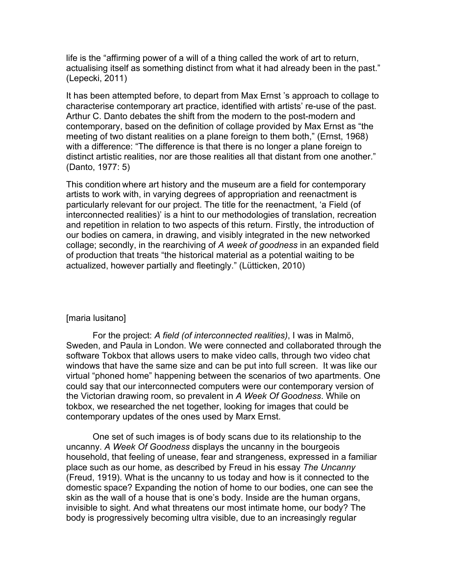life is the "affirming power of a will of a thing called the work of art to return, actualising itself as something distinct from what it had already been in the past." (Lepecki, 2011)

It has been attempted before, to depart from Max Ernst 's approach to collage to characterise contemporary art practice, identified with artists' re-use of the past. Arthur C. Danto debates the shift from the modern to the post-modern and contemporary, based on the definition of collage provided by Max Ernst as "the meeting of two distant realities on a plane foreign to them both," (Ernst, 1968) with a difference: "The difference is that there is no longer a plane foreign to distinct artistic realities, nor are those realities all that distant from one another." (Danto, 1977: 5)

This condition where art history and the museum are a field for contemporary artists to work with, in varying degrees of appropriation and reenactment is particularly relevant for our project. The title for the reenactment, 'a Field (of interconnected realities)' is a hint to our methodologies of translation, recreation and repetition in relation to two aspects of this return. Firstly, the introduction of our bodies on camera, in drawing, and visibly integrated in the new networked collage; secondly, in the rearchiving of *A week of goodness* in an expanded field of production that treats "the historical material as a potential waiting to be actualized, however partially and fleetingly." (Lütticken, 2010)

### [maria lusitano]

For the project: *A field (of interconnected realities)*, I was in Malmö, Sweden, and Paula in London. We were connected and collaborated through the software Tokbox that allows users to make video calls, through two video chat windows that have the same size and can be put into full screen. It was like our virtual "phoned home" happening between the scenarios of two apartments. One could say that our interconnected computers were our contemporary version of the Victorian drawing room, so prevalent in *A Week Of Goodness*. While on tokbox, we researched the net together, looking for images that could be contemporary updates of the ones used by Marx Ernst.

One set of such images is of body scans due to its relationship to the uncanny. *A Week Of Goodness* displays the uncanny in the bourgeois household, that feeling of unease, fear and strangeness, expressed in a familiar place such as our home, as described by Freud in his essay *The Uncanny* (Freud, 1919). What is the uncanny to us today and how is it connected to the domestic space? Expanding the notion of home to our bodies, one can see the skin as the wall of a house that is one's body. Inside are the human organs, invisible to sight. And what threatens our most intimate home, our body? The body is progressively becoming ultra visible, due to an increasingly regular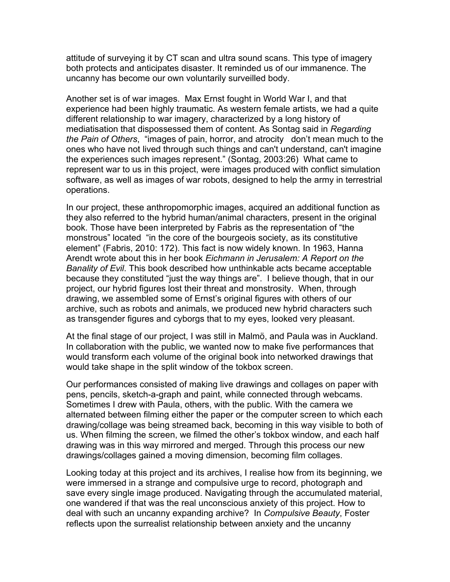attitude of surveying it by CT scan and ultra sound scans. This type of imagery both protects and anticipates disaster. It reminded us of our immanence. The uncanny has become our own voluntarily surveilled body.

Another set is of war images. Max Ernst fought in World War I, and that experience had been highly traumatic. As western female artists, we had a quite different relationship to war imagery, characterized by a long history of mediatisation that dispossessed them of content. As Sontag said in *Regarding the Pain of Others*, "images of pain, horror, and atrocity don't mean much to the ones who have not lived through such things and can't understand, can't imagine the experiences such images represent." (Sontag, 2003:26) What came to represent war to us in this project, were images produced with conflict simulation software, as well as images of war robots, designed to help the army in terrestrial operations.

In our project, these anthropomorphic images, acquired an additional function as they also referred to the hybrid human/animal characters, present in the original book. Those have been interpreted by Fabris as the representation of "the monstrous" located "in the core of the bourgeois society, as its constitutive element" (Fabris, 2010: 172). This fact is now widely known. In 1963, Hanna Arendt wrote about this in her book *Eichmann in Jerusalem: A Report on the Banality of Evil*. This book described how unthinkable acts became acceptable because they constituted "just the way things are". I believe though, that in our project, our hybrid figures lost their threat and monstrosity. When, through drawing, we assembled some of Ernst's original figures with others of our archive, such as robots and animals, we produced new hybrid characters such as transgender figures and cyborgs that to my eyes, looked very pleasant.

At the final stage of our project, I was still in Malmö, and Paula was in Auckland. In collaboration with the public, we wanted now to make five performances that would transform each volume of the original book into networked drawings that would take shape in the split window of the tokbox screen.

Our performances consisted of making live drawings and collages on paper with pens, pencils, sketch-a-graph and paint, while connected through webcams. Sometimes I drew with Paula, others, with the public. With the camera we alternated between filming either the paper or the computer screen to which each drawing/collage was being streamed back, becoming in this way visible to both of us. When filming the screen, we filmed the other's tokbox window, and each half drawing was in this way mirrored and merged. Through this process our new drawings/collages gained a moving dimension, becoming film collages.

Looking today at this project and its archives, I realise how from its beginning, we were immersed in a strange and compulsive urge to record, photograph and save every single image produced. Navigating through the accumulated material, one wandered if that was the real unconscious anxiety of this project. How to deal with such an uncanny expanding archive? In *Compulsive Beauty*, Foster reflects upon the surrealist relationship between anxiety and the uncanny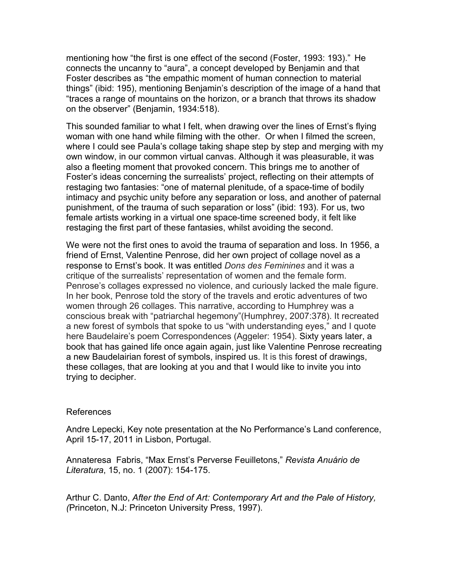mentioning how "the first is one effect of the second (Foster, 1993: 193)." He connects the uncanny to "aura", a concept developed by Benjamin and that Foster describes as "the empathic moment of human connection to material things" (ibid: 195), mentioning Benjamin's description of the image of a hand that "traces a range of mountains on the horizon, or a branch that throws its shadow on the observer" (Benjamin, 1934:518).

This sounded familiar to what I felt, when drawing over the lines of Ernst's flying woman with one hand while filming with the other. Or when I filmed the screen, where I could see Paula's collage taking shape step by step and merging with my own window, in our common virtual canvas. Although it was pleasurable, it was also a fleeting moment that provoked concern. This brings me to another of Foster's ideas concerning the surrealists' project, reflecting on their attempts of restaging two fantasies: "one of maternal plenitude, of a space-time of bodily intimacy and psychic unity before any separation or loss, and another of paternal punishment, of the trauma of such separation or loss" (ibid: 193). For us, two female artists working in a virtual one space-time screened body, it felt like restaging the first part of these fantasies, whilst avoiding the second.

We were not the first ones to avoid the trauma of separation and loss. In 1956, a friend of Ernst, Valentine Penrose, did her own project of collage novel as a response to Ernst's book. It was entitled *Dons des Feminines* and it was a critique of the surrealists' representation of women and the female form. Penrose's collages expressed no violence, and curiously lacked the male figure. In her book, Penrose told the story of the travels and erotic adventures of two women through 26 collages. This narrative, according to Humphrey was a conscious break with "patriarchal hegemony"(Humphrey, 2007:378). It recreated a new forest of symbols that spoke to us "with understanding eyes," and I quote here Baudelaire's poem Correspondences (Aggeler: 1954). Sixty years later, a book that has gained life once again again, just like Valentine Penrose recreating a new Baudelairian forest of symbols, inspired us. It is this forest of drawings, these collages, that are looking at you and that I would like to invite you into trying to decipher.

### References

Andre Lepecki, Key note presentation at the No Performance's Land conference, April 15-17, 2011 in Lisbon, Portugal.

Annateresa Fabris, "Max Ernst's Perverse Feuilletons," *Revista Anuário de Literatura*, 15, no. 1 (2007): 154-175.

Arthur C. Danto, *After the End of Art: Contemporary Art and the Pale of History, (*Princeton, N.J: Princeton University Press, 1997).